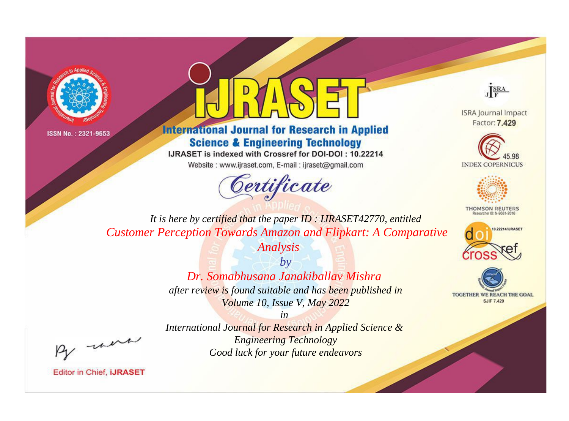



**International Journal for Research in Applied Science & Engineering Technology** 

IJRASET is indexed with Crossref for DOI-DOI: 10.22214

Website: www.ijraset.com, E-mail: ijraset@gmail.com





**ISRA Journal Impact** Factor: 7.429





**THOMSON REUTERS** 



TOGETHER WE REACH THE GOAL **SJIF 7.429** 

*It is here by certified that the paper ID : IJRASET42770, entitled Customer Perception Towards Amazon and Flipkart: A Comparative* 

*Analysis*

*by Dr. Somabhusana Janakiballav Mishra after review is found suitable and has been published in Volume 10, Issue V, May 2022*

*in* 

, were

*International Journal for Research in Applied Science & Engineering Technology Good luck for your future endeavors*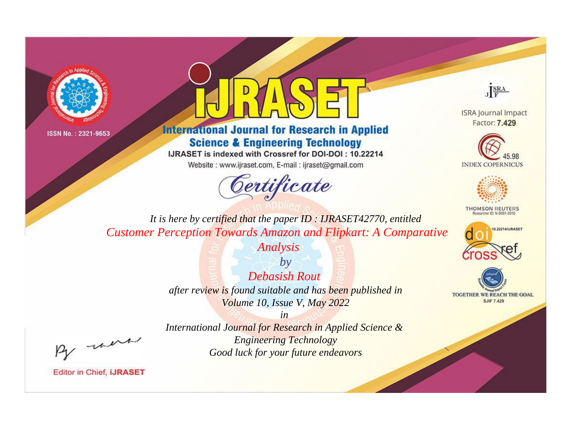



**International Journal for Research in Applied Science & Engineering Technology** 

IJRASET is indexed with Crossref for DOI-DOI: 10.22214

Website: www.ijraset.com, E-mail: ijraset@gmail.com





**ISRA Journal Impact** Factor: 7.429





**THOMSON REUTERS** 



TOGETHER WE REACH THE GOAL **SJIF 7.429** 

*It is here by certified that the paper ID : IJRASET42770, entitled Customer Perception Towards Amazon and Flipkart: A Comparative* 

*Analysis*

*by Debasish Rout after review is found suitable and has been published in Volume 10, Issue V, May 2022*

, were

*International Journal for Research in Applied Science & Engineering Technology Good luck for your future endeavors*

*in*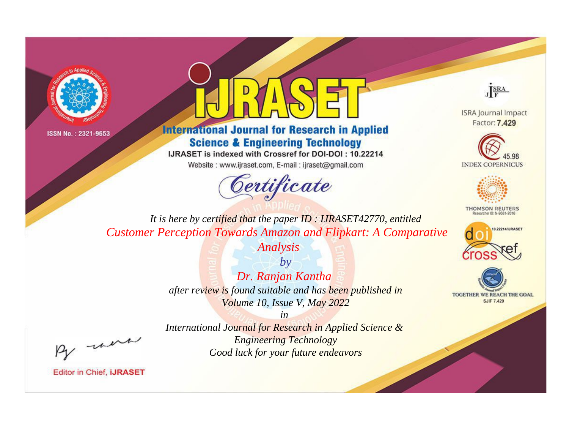



**International Journal for Research in Applied Science & Engineering Technology** 

IJRASET is indexed with Crossref for DOI-DOI: 10.22214

Website: www.ijraset.com, E-mail: ijraset@gmail.com





**ISRA Journal Impact** Factor: 7.429





**THOMSON REUTERS** 



TOGETHER WE REACH THE GOAL **SJIF 7.429** 

*It is here by certified that the paper ID : IJRASET42770, entitled Customer Perception Towards Amazon and Flipkart: A Comparative* 

*Analysis*

*by Dr. Ranjan Kantha after review is found suitable and has been published in Volume 10, Issue V, May 2022*

, were

*International Journal for Research in Applied Science & Engineering Technology Good luck for your future endeavors*

*in*